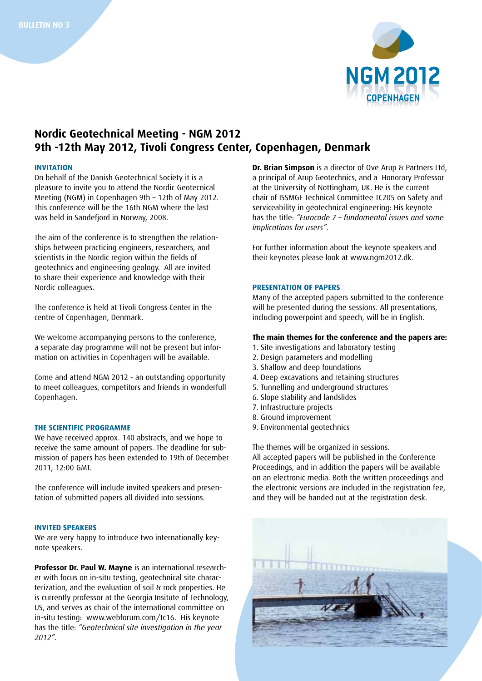

# **Nordic Geotechnical Meeting - NGM 2012 9th -12th May 2012, Tivoli Congress Center, Copenhagen, Denmark**

## **INVITATION**

On behalf of the Danish Geotechnical Society it is a pleasure to invite you to attend the Nordic Geotecnical Meeting (NGM) in Copenhagen 9th – 12th of May 2012. This conference will be the 16th NGM where the last was held in Sandefjord in Norway, 2008.

The aim of the conference is to strengthen the relationships between practicing engineers, researchers, and scientists in the Nordic region within the fields of geotechnics and engineering geology. All are invited to share their experience and knowledge with their Nordic colleagues.

The conference is held at Tivoli Congress Center in the centre of Copenhagen, Denmark.

We welcome accompanying persons to the conference, a separate day programme will not be present but information on activities in Copenhagen will be available.

Come and attend NGM 2012 - an outstanding opportunity to meet colleagues, competitors and friends in wonderfull Copenhagen.

## **THE SCIENTIFIC PROGRAMME**

We have received approx. 140 abstracts, and we hope to receive the same amount of papers. The deadline for submission of papers has been extended to 19th of December 2011, 12:00 GMT.

The conference will include invited speakers and presentation of submitted papers all divided into sessions.

## **Invited speakers**

We are very happy to introduce two internationally keynote speakers.

**Professor Dr. Paul W. Mayne** is an international researcher with focus on in-situ testing, geotechnical site characterization, and the evaluation of soil & rock properties. He is currently professor at the Georgia Insitute of Technology, US, and serves as chair of the international committee on in-situ testing: www.webforum.com/tc16. His keynote has the title: *"Geotechnical site investigation in the year 2012".* 

**Dr. Brian Simpson** is a director of Ove Arup & Partners Ltd, a principal of Arup Geotechnics, and a Honorary Professor at the University of Nottingham, UK. He is the current chair of ISSMGE Technical Committee TC205 on Safety and serviceability in geotechnical engineering: His keynote has the title: *"Eurocode 7 – fundamental issues and some implications for users".*

For further information about the keynote speakers and their keynotes please look at www.ngm2012.dk.

## **Presentation of papers**

Many of the accepted papers submitted to the conference will be presented during the sessions. All presentations, including powerpoint and speech, will be in English.

## **The main themes for the conference and the papers are:**

- 1. Site investigations and laboratory testing
- 2. Design parameters and modelling
- 3. Shallow and deep foundations
- 4. Deep excavations and retaining structures
- 5. Tunnelling and underground structures
- 6. Slope stability and landslides
- 7. Infrastructure projects
- 8. Ground improvement
- 9. Environmental geotechnics

The themes will be organized in sessions. All accepted papers will be published in the Conference Proceedings, and in addition the papers will be available on an electronic media. Both the written proceedings and the electronic versions are included in the registration fee, and they will be handed out at the registration desk.

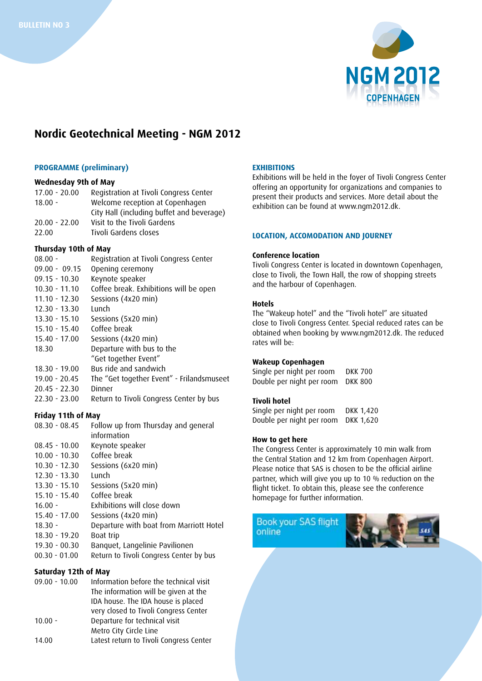

# **Nordic Geotechnical Meeting - NGM 2012**

### **PROGRAMME (preliminary)**

# **Wednesday 9th of May**

17.00 - 20.00 Registration at Tivoli Congress Center 18.00 - Welcome reception at Copenhagen City Hall (including buffet and beverage) 20.00 - 22.00 Visit to the Tivoli Gardens 22.00 Tivoli Gardens closes

## **Thursday 10th of May**

| $08.00 -$       | Registration at Tivoli Congress Center    |
|-----------------|-------------------------------------------|
| $09.00 - 09.15$ | Opening ceremony                          |
| $09.15 - 10.30$ | Keynote speaker                           |
| $10.30 - 11.10$ | Coffee break. Exhibitions will be open    |
| $11.10 - 12.30$ | Sessions (4x20 min)                       |
| $12.30 - 13.30$ | Lunch                                     |
| $13.30 - 15.10$ | Sessions (5x20 min)                       |
| $15.10 - 15.40$ | Coffee break                              |
| $15.40 - 17.00$ | Sessions (4x20 min)                       |
| 18.30           | Departure with bus to the                 |
|                 | "Get together Event"                      |
| $18.30 - 19.00$ | Bus ride and sandwich                     |
| $19.00 - 20.45$ | The "Get together Event" - Frilandsmuseet |
| $20.45 - 22.30$ | Dinner                                    |
| $22.30 - 23.00$ | Return to Tivoli Congress Center by bus   |
|                 |                                           |

## **Friday 11th of May**

| $08.30 - 08.45$ | Follow up from Thursday and general     |
|-----------------|-----------------------------------------|
|                 | information                             |
| $08.45 - 10.00$ | Keynote speaker                         |
| $10.00 - 10.30$ | Coffee break                            |
| $10.30 - 12.30$ | Sessions (6x20 min)                     |
| $12.30 - 13.30$ | Lunch                                   |
| $13.30 - 15.10$ | Sessions (5x20 min)                     |
| $15.10 - 15.40$ | Coffee break                            |
| $16.00 -$       | Exhibitions will close down             |
| $15.40 - 17.00$ | Sessions (4x20 min)                     |
| $18.30 -$       | Departure with boat from Marriott Hotel |
| $18.30 - 19.20$ | Boat trip                               |
| $19.30 - 00.30$ | Banquet, Langelinie Pavilionen          |
| $00.30 - 01.00$ | Return to Tivoli Congress Center by bus |
|                 |                                         |

## **Saturday 12th of May**

| $09.00 - 10.00$ | Information before the technical visit  |
|-----------------|-----------------------------------------|
|                 | The information will be given at the    |
|                 | IDA house. The IDA house is placed      |
|                 | very closed to Tivoli Congress Center   |
| $10.00 -$       | Departure for technical visit           |
|                 | Metro City Circle Line                  |
| 14.00           | Latest return to Tivoli Congress Center |
|                 |                                         |

## **EXHIBITIONS**

Exhibitions will be held in the foyer of Tivoli Congress Center offering an opportunity for organizations and companies to present their products and services. More detail about the exhibition can be found at www.ngm2012.dk.

## **LOCATION, ACCOMODATION AND JOURNEY**

#### **Conference location**

Tivoli Congress Center is located in downtown Copenhagen, close to Tivoli, the Town Hall, the row of shopping streets and the harbour of Copenhagen.

#### **Hotels**

The "Wakeup hotel" and the "Tivoli hotel" are situated close to Tivoli Congress Center. Special reduced rates can be obtained when booking by www.ngm2012.dk. The reduced rates will be:

#### **Wakeup Copenhagen**

Single per night per room DKK 700 Double per night per room DKK 800

## **Tivoli hotel**

Single per night per room DKK 1,420 Double per night per room DKK 1,620

#### **How to get here**

The Congress Center is approximately 10 min walk from the Central Station and 12 km from Copenhagen Airport. Please notice that SAS is chosen to be the official airline partner, which will give you up to 10 % reduction on the flight ticket. To obtain this, please see the conference homepage for further information.

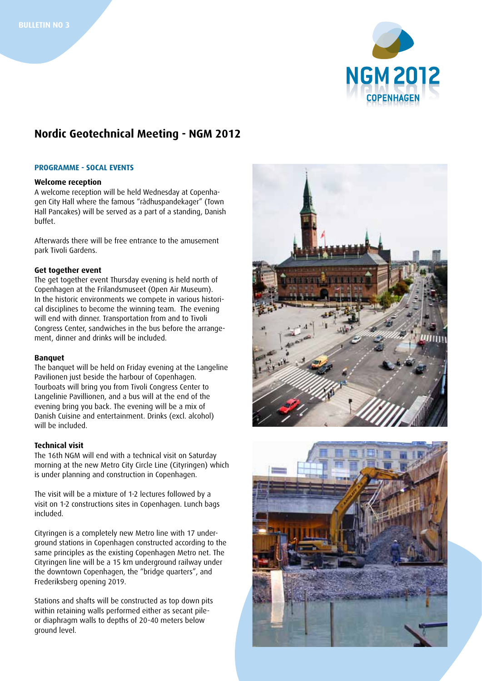

# **Nordic Geotechnical Meeting - NGM 2012**

#### **PROGRAMME - Socal events**

## **Welcome reception**

A welcome reception will be held Wednesday at Copenhagen City Hall where the famous "rådhuspandekager" (Town Hall Pancakes) will be served as a part of a standing, Danish buffet.

Afterwards there will be free entrance to the amusement park Tivoli Gardens.

## **Get together event**

The get together event Thursday evening is held north of Copenhagen at the Frilandsmuseet (Open Air Museum). In the historic environments we compete in various historical disciplines to become the winning team. The evening will end with dinner. Transportation from and to Tivoli Congress Center, sandwiches in the bus before the arrangement, dinner and drinks will be included.

#### **Banquet**

The banquet will be held on Friday evening at the Langeline Pavilionen just beside the harbour of Copenhagen. Tourboats will bring you from Tivoli Congress Center to Langelinie Pavillionen, and a bus will at the end of the evening bring you back. The evening will be a mix of Danish Cuisine and entertainment. Drinks (excl. alcohol) will be included.

## **Technical visit**

The 16th NGM will end with a technical visit on Saturday morning at the new Metro City Circle Line (Cityringen) which is under planning and construction in Copenhagen.

The visit will be a mixture of 1-2 lectures followed by a visit on 1-2 constructions sites in Copenhagen. Lunch bags included.

Cityringen is a completely new Metro line with 17 underground stations in Copenhagen constructed according to the same principles as the existing Copenhagen Metro net. The Cityringen line will be a 15 km underground railway under the downtown Copenhagen, the "bridge quarters", and Frederiksberg opening 2019.

Stations and shafts will be constructed as top down pits within retaining walls performed either as secant pileor diaphragm walls to depths of 20-40 meters below ground level.